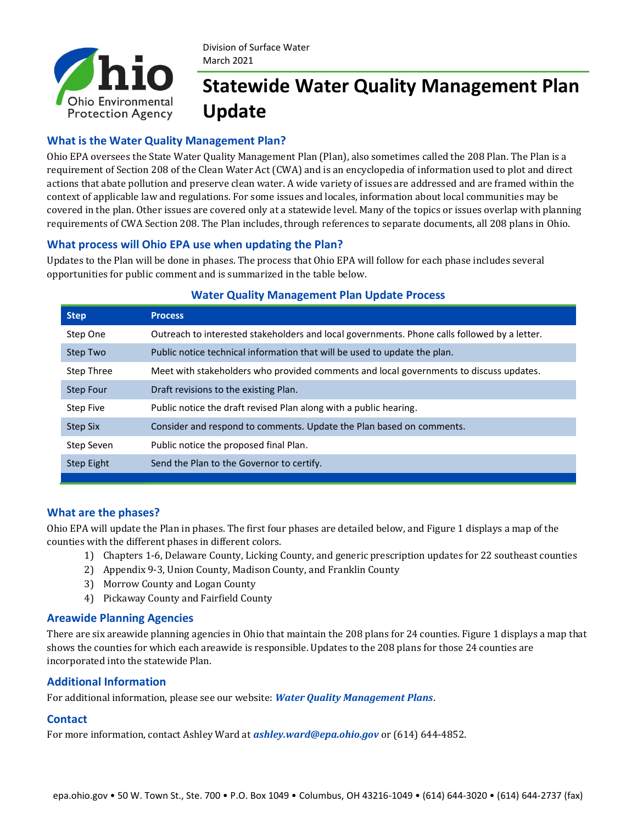

#### Division of Surface Water March 2021

# **Statewide Water Quality Management Plan Update**

### **What is the Water Quality Management Plan?**

Ohio EPA oversees the State Water Quality Management Plan (Plan), also sometimes called the 208 Plan. The Plan is a requirement of Section 208 of the Clean Water Act (CWA) and is an encyclopedia of information used to plot and direct actions that abate pollution and preserve clean water. A wide variety of issues are addressed and are framed within the context of applicable law and regulations. For some issues and locales, information about local communities may be covered in the plan. Other issues are covered only at a statewide level. Many of the topics or issues overlap with planning requirements of CWA Section 208. The Plan includes, through references to separate documents, all 208 plans in Ohio.

#### **What process will Ohio EPA use when updating the Plan?**

Updates to the Plan will be done in phases. The process that Ohio EPA will follow for each phase includes several opportunities for public comment and is summarized in the table below.

| <b>Step</b>      | <b>Process</b>                                                                               |
|------------------|----------------------------------------------------------------------------------------------|
| Step One         | Outreach to interested stakeholders and local governments. Phone calls followed by a letter. |
| Step Two         | Public notice technical information that will be used to update the plan.                    |
| Step Three       | Meet with stakeholders who provided comments and local governments to discuss updates.       |
| <b>Step Four</b> | Draft revisions to the existing Plan.                                                        |
| <b>Step Five</b> | Public notice the draft revised Plan along with a public hearing.                            |
| <b>Step Six</b>  | Consider and respond to comments. Update the Plan based on comments.                         |
| Step Seven       | Public notice the proposed final Plan.                                                       |
| Step Eight       | Send the Plan to the Governor to certify.                                                    |
|                  |                                                                                              |

#### **Water Quality Management Plan Update Process**

#### **What are the phases?**

Ohio EPA will update the Plan in phases. The first four phases are detailed below, and Figure 1 displays a map of the counties with the different phases in different colors.

- 1) Chapters 1-6, Delaware County, Licking County, and generic prescription updates for 22 southeast counties
- 2) Appendix 9-3, Union County, Madison County, and Franklin County
- 3) Morrow County and Logan County
- 4) Pickaway County and Fairfield County

#### **Areawide Planning Agencies**

There are six areawide planning agencies in Ohio that maintain the 208 plans for 24 counties. Figure 1 displays a map that shows the counties for which each areawide is responsible. Updates to the 208 plans for those 24 counties are incorporated into the statewide Plan.

#### **Additional Information**

For additional information, please see our website: *[Water Quality Management Plans](https://www.epa.ohio.gov/dsw/mgmtplans/208index#157718890-government-entities-responsible-for-208-planning-in-ohio)*.

#### **Contact**

For more information, contact Ashley Ward at *[ashley.ward@epa.ohio.gov](mailto:ashley.ward@epa.ohio.gov)* or (614) 644-4852.